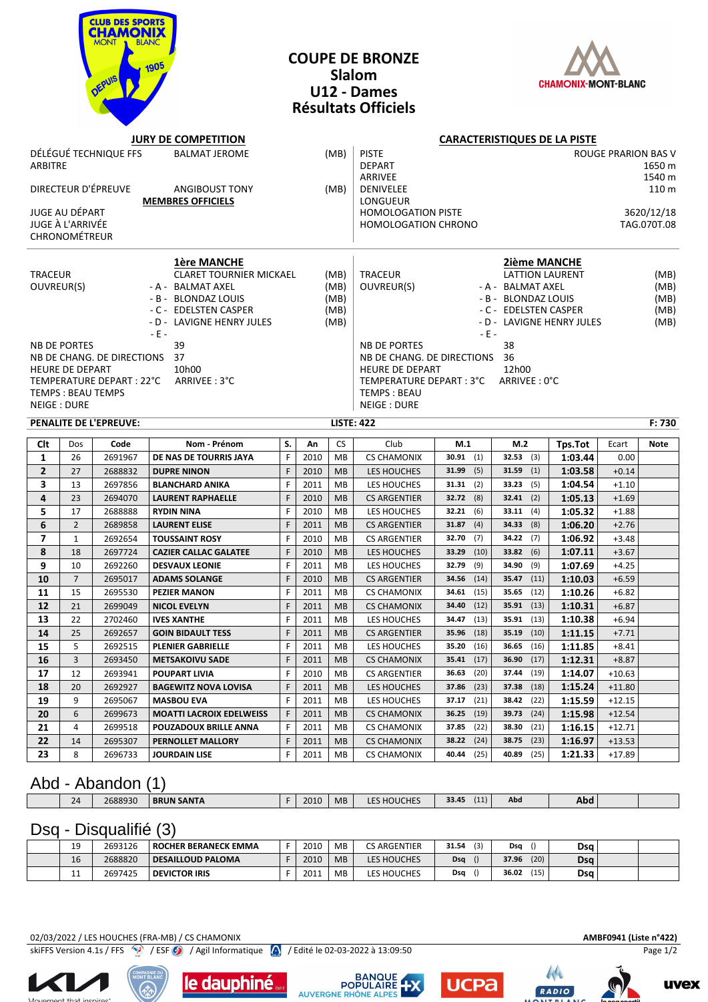

### **COUPE DE BRONZE Slalom U12 - Dames Résultats Officiels**



#### **JURY DE COMPETITION CARACTERISTIQUES DE LA PISTE**

| DÉLÉGUÉ TECHNIQUE FFS<br><b>BALMAT JEROME</b><br>(MB)<br>ARBITRE<br>DIRECTEUR D'ÉPREUVE<br><b>ANGIBOUST TONY</b><br>(MB)<br><b>MEMBRES OFFICIELS</b><br><b>JUGE AU DÉPART</b><br>JUGE À L'ARRIVÉE<br>CHRONOMÉTREUR |                |                               |                              |    |      |                                      | <b>PISTE</b><br><b>DEPART</b><br>ARRIVEE<br><b>DENIVELEE</b><br>LONGUEUR<br><b>HOMOLOGATION PISTE</b><br><b>HOMOLOGATION CHRONO</b>                     |               |                                                                                                                                                                                  | ROUGE PRARION BAS V<br>1650 m<br>1540 m<br>110 m<br>3620/12/18<br>TAG.070T.08 |          |             |  |
|--------------------------------------------------------------------------------------------------------------------------------------------------------------------------------------------------------------------|----------------|-------------------------------|------------------------------|----|------|--------------------------------------|---------------------------------------------------------------------------------------------------------------------------------------------------------|---------------|----------------------------------------------------------------------------------------------------------------------------------------------------------------------------------|-------------------------------------------------------------------------------|----------|-------------|--|
| <b>1ère MANCHE</b><br><b>CLARET TOURNIER MICKAEL</b><br><b>TRACEUR</b><br>OUVREUR(S)<br>- A - BALMAT AXEL<br>- B - BLONDAZ LOUIS<br>- C - EDELSTEN CASPER<br>- D - LAVIGNE HENRY JULES<br>$-E -$                   |                |                               |                              |    |      | (MB)<br>(MB)<br>(MB)<br>(MB)<br>(MB) | <b>TRACEUR</b><br>OUVREUR(S)                                                                                                                            | $-E -$        | 2ième MANCHE<br><b>LATTION LAURENT</b><br>(MB)<br>- A - BALMAT AXEL<br>(MB)<br>- B - BLONDAZ LOUIS<br>(MB)<br>- C - EDELSTEN CASPER<br>(MB)<br>- D - LAVIGNE HENRY JULES<br>(MB) |                                                                               |          |             |  |
| 39<br><b>NB DE PORTES</b><br>NB DE CHANG. DE DIRECTIONS 37<br>HEURE DE DEPART<br>10h00<br>TEMPERATURE DEPART : 22°C<br>ARRIVEE: 3°C<br><b>TEMPS: BEAU TEMPS</b><br>NEIGE : DURE                                    |                |                               |                              |    |      |                                      | <b>NB DE PORTES</b><br>NB DE CHANG. DE DIRECTIONS 36<br><b>HEURE DE DEPART</b><br>TEMPERATURE DEPART : 3°C ARRIVEE : 0°C<br>TEMPS: BEAU<br>NEIGE : DURE |               | 38<br>12h00                                                                                                                                                                      |                                                                               |          |             |  |
|                                                                                                                                                                                                                    |                | <b>PENALITE DE L'EPREUVE:</b> |                              |    |      | <b>LISTE: 422</b>                    |                                                                                                                                                         |               |                                                                                                                                                                                  |                                                                               |          | F: 730      |  |
| Clt                                                                                                                                                                                                                | Dos            | Code                          | Nom - Prénom                 | S. | An   | <b>CS</b>                            | Club                                                                                                                                                    |               | M.2                                                                                                                                                                              |                                                                               |          |             |  |
|                                                                                                                                                                                                                    |                |                               |                              |    |      |                                      |                                                                                                                                                         | M.1           |                                                                                                                                                                                  |                                                                               | Ecart    | <b>Note</b> |  |
| $\mathbf{1}$                                                                                                                                                                                                       | 26             | 2691967                       | DE NAS DE TOURRIS JAYA       | F  | 2010 | <b>MB</b>                            | <b>CS CHAMONIX</b>                                                                                                                                      | $30.91$ (1)   | $32.53$ (3)                                                                                                                                                                      | Tps.Tot<br>1:03.44                                                            | 0.00     |             |  |
| $\overline{2}$                                                                                                                                                                                                     | 27             | 2688832                       | <b>DUPRE NINON</b>           | F  | 2010 | <b>MB</b>                            | LES HOUCHES                                                                                                                                             | 31.99 $(5)$   | 31.59<br>(1)                                                                                                                                                                     | 1:03.58                                                                       | $+0.14$  |             |  |
| 3                                                                                                                                                                                                                  | 13             | 2697856                       | <b>BLANCHARD ANIKA</b>       | F  | 2011 | <b>MB</b>                            | LES HOUCHES                                                                                                                                             | $31.31$ (2)   | 33.23<br>(5)                                                                                                                                                                     | 1:04.54                                                                       | $+1.10$  |             |  |
| $\overline{\mathbf{4}}$                                                                                                                                                                                            | 23             | 2694070                       | <b>LAURENT RAPHAELLE</b>     | F  | 2010 | <b>MB</b>                            | <b>CS ARGENTIER</b>                                                                                                                                     | $32.72$ (8)   | $32.41$ (2)                                                                                                                                                                      | 1:05.13                                                                       | $+1.69$  |             |  |
| 5                                                                                                                                                                                                                  | 17             | 2688888                       | <b>RYDIN NINA</b>            | F  | 2010 | <b>MB</b>                            | LES HOUCHES                                                                                                                                             | 32.21(6)      | 33.11<br>(4)                                                                                                                                                                     | 1:05.32                                                                       | $+1.88$  |             |  |
| 6                                                                                                                                                                                                                  | $\overline{2}$ | 2689858                       | <b>LAURENT ELISE</b>         | F  | 2011 | <b>MB</b>                            | <b>CS ARGENTIER</b>                                                                                                                                     | 31.87<br>(4)  | 34.33<br>(8)                                                                                                                                                                     | 1:06.20                                                                       | $+2.76$  |             |  |
| $\overline{\phantom{a}}$                                                                                                                                                                                           | $\mathbf{1}$   | 2692654                       | <b>TOUSSAINT ROSY</b>        | F  | 2010 | <b>MB</b>                            | <b>CS ARGENTIER</b>                                                                                                                                     | 32.70<br>(7)  | 34.22<br>(7)                                                                                                                                                                     | 1:06.92                                                                       | $+3.48$  |             |  |
| 8                                                                                                                                                                                                                  | 18             | 2697724                       | <b>CAZIER CALLAC GALATEE</b> | F  | 2010 | <b>MB</b>                            | LES HOUCHES                                                                                                                                             | 33.29 (10)    | 33.82<br>(6)                                                                                                                                                                     | 1:07.11                                                                       | $+3.67$  |             |  |
| 9                                                                                                                                                                                                                  | 10             | 2692260                       | <b>DESVAUX LEONIE</b>        | F  | 2011 | <b>MB</b>                            | LES HOUCHES                                                                                                                                             | 32.79<br>(9)  | 34.90<br>(9)                                                                                                                                                                     | 1:07.69                                                                       | $+4.25$  |             |  |
| 10                                                                                                                                                                                                                 | $\overline{7}$ | 2695017                       | <b>ADAMS SOLANGE</b>         | F  | 2010 | <b>MB</b>                            | <b>CS ARGENTIER</b>                                                                                                                                     | 34.56<br>(14) | 35.47<br>(11)                                                                                                                                                                    | 1:10.03                                                                       | $+6.59$  |             |  |
| 11                                                                                                                                                                                                                 | 15             | 2695530                       | <b>PEZIER MANON</b>          | F  | 2011 | <b>MB</b>                            | <b>CS CHAMONIX</b>                                                                                                                                      | 34.61<br>(15) | 35.65<br>(12)                                                                                                                                                                    | 1:10.26                                                                       | $+6.82$  |             |  |
| 12                                                                                                                                                                                                                 | 21             | 2699049                       | <b>NICOL EVELYN</b>          | F  | 2011 | <b>MB</b>                            | <b>CS CHAMONIX</b>                                                                                                                                      | 34.40<br>(12) | 35.91<br>(13)                                                                                                                                                                    | 1:10.31                                                                       | $+6.87$  |             |  |
| 13                                                                                                                                                                                                                 | 22             | 2702460                       | <b>IVES XANTHE</b>           | F  | 2011 | <b>MB</b>                            | LES HOUCHES                                                                                                                                             | 34.47<br>(13) | 35.91<br>(13)                                                                                                                                                                    | 1:10.38                                                                       | $+6.94$  |             |  |
| 14                                                                                                                                                                                                                 | 25             | 2692657                       | <b>GOIN BIDAULT TESS</b>     | F  | 2011 | <b>MB</b>                            | <b>CS ARGENTIER</b>                                                                                                                                     | 35.96<br>(18) | 35.19<br>(10)                                                                                                                                                                    | 1:11.15                                                                       | $+7.71$  |             |  |
| 15                                                                                                                                                                                                                 | 5              | 2692515                       | <b>PLENIER GABRIELLE</b>     | F  | 2011 | <b>MB</b>                            | LES HOUCHES                                                                                                                                             | 35.20<br>(16) | 36.65<br>(16)                                                                                                                                                                    | 1:11.85                                                                       | $+8.41$  |             |  |
| 16                                                                                                                                                                                                                 | $\overline{3}$ | 2693450                       | <b>METSAKOIVU SADE</b>       | F  | 2011 | <b>MB</b>                            | <b>CS CHAMONIX</b>                                                                                                                                      | 35.41<br>(17) | 36.90<br>(17)                                                                                                                                                                    | 1:12.31                                                                       | $+8.87$  |             |  |
| 17                                                                                                                                                                                                                 | 12             | 2693941                       | <b>POUPART LIVIA</b>         | F  | 2010 | <b>MB</b>                            | <b>CS ARGENTIER</b>                                                                                                                                     | 36.63<br>(20) | 37.44<br>(19)                                                                                                                                                                    | 1:14.07                                                                       | $+10.63$ |             |  |
| 18                                                                                                                                                                                                                 | 20             | 2692927                       | <b>BAGEWITZ NOVA LOVISA</b>  | F  | 2011 | <b>MB</b>                            | LES HOUCHES                                                                                                                                             | 37.86<br>(23) | 37.38<br>(18)                                                                                                                                                                    | 1:15.24                                                                       | $+11.80$ |             |  |
| 19                                                                                                                                                                                                                 | 9              | 2695067                       | <b>MASBOU EVA</b>            | F  | 2011 | <b>MB</b>                            | LES HOUCHES                                                                                                                                             | 37.17<br>(21) | 38.42<br>(22)                                                                                                                                                                    | 1:15.59                                                                       | $+12.15$ |             |  |

## Abd - Abandon (1)

| 1Д | 2688930 | <b>BRUN SANTA</b> | 2010 | <b>MB</b> | <b>LES HOUCHES</b> | $\overline{A}$<br>$\sim$<br>$-$<br>(11)<br>33.45 | Abd | Abd |  |
|----|---------|-------------------|------|-----------|--------------------|--------------------------------------------------|-----|-----|--|
|    |         |                   |      |           |                    |                                                  |     |     |  |

**21** 4 2699518 **POUZADOUX BRILLE ANNA** F 2011 MB CS CHAMONIX **37.85** (22) **38.30** (21) **1:16.15** +12.71 **22** 14 2695307 **PERNOLLET MALLORY** F 2011 MB CS CHAMONIX **38.22** (24) **38.75** (23) **1:16.97** +13.53 **23** 8 2696733 **JOURDAIN LISE** F 2011 MB CS CHAMONIX **40.44** (25) **40.89** (25) **1:21.33** +17.89

# Dsq - Disqualifié (3)

| 10         | 2693126 | ROCHER BERANECK EMMA     | 2010 | <b>MB</b> | <b>CS ARGENTIER</b> | (3)<br>31.54 | Dsq           | Dsa        |  |
|------------|---------|--------------------------|------|-----------|---------------------|--------------|---------------|------------|--|
| 16         | 2688820 | <b>DESAILLOUD PALOMA</b> | 2010 | <b>MB</b> | LES HOUCHES         | Dsa          | (20)<br>37.96 | <b>Dsq</b> |  |
| <u>. .</u> | 2697425 | <b>DEVICTOR IRIS</b>     | 2011 | <b>MB</b> | <b>LES HOUCHES</b>  | Dsa          | (15)<br>36.02 | Dsa        |  |

### 02/03/2022 / LES HOUCHES (FRA-MB) / CS CHAMONIX **AMBF0941 (Liste n°422)**

skiFFS Version 4.1s / FFS / / ESF / / Agil Informatique / / Edité le 02-03-2022 à 13:09:50 Page 1/2









RADIO



**uvex**